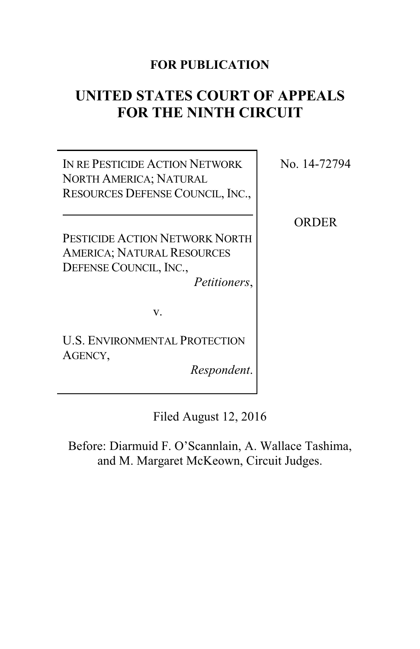## **FOR PUBLICATION**

# **UNITED STATES COURT OF APPEALS FOR THE NINTH CIRCUIT**

IN RE PESTICIDE ACTION NETWORK NORTH AMERICA; NATURAL RESOURCES DEFENSE COUNCIL, INC., No. 14-72794

**ORDER** 

PESTICIDE ACTION NETWORK NORTH AMERICA; NATURAL RESOURCES DEFENSE COUNCIL, INC.,

*Petitioners*,

v.

U.S. ENVIRONMENTAL PROTECTION AGENCY,

*Respondent*.

Filed August 12, 2016

Before: Diarmuid F. O'Scannlain, A. Wallace Tashima, and M. Margaret McKeown, Circuit Judges.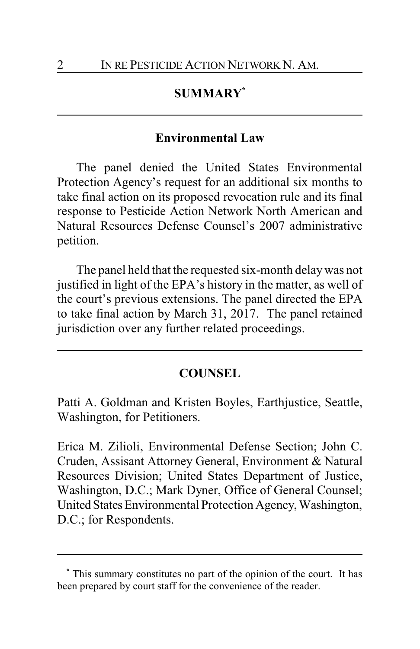### **SUMMARY\***

#### **Environmental Law**

The panel denied the United States Environmental Protection Agency's request for an additional six months to take final action on its proposed revocation rule and its final response to Pesticide Action Network North American and Natural Resources Defense Counsel's 2007 administrative petition.

The panel held that the requested six-month delaywas not justified in light of the EPA's history in the matter, as well of the court's previous extensions. The panel directed the EPA to take final action by March 31, 2017. The panel retained jurisdiction over any further related proceedings.

#### **COUNSEL**

Patti A. Goldman and Kristen Boyles, Earthjustice, Seattle, Washington, for Petitioners.

Erica M. Zilioli, Environmental Defense Section; John C. Cruden, Assisant Attorney General, Environment & Natural Resources Division; United States Department of Justice, Washington, D.C.; Mark Dyner, Office of General Counsel; United States Environmental Protection Agency, Washington, D.C.; for Respondents.

**<sup>\*</sup>** This summary constitutes no part of the opinion of the court. It has been prepared by court staff for the convenience of the reader.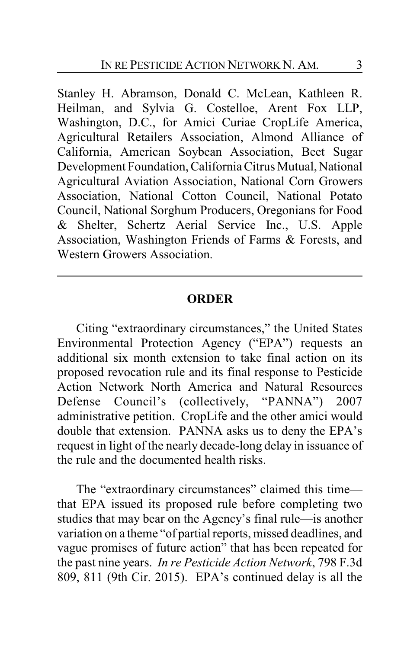Stanley H. Abramson, Donald C. McLean, Kathleen R. Heilman, and Sylvia G. Costelloe, Arent Fox LLP, Washington, D.C., for Amici Curiae CropLife America, Agricultural Retailers Association, Almond Alliance of California, American Soybean Association, Beet Sugar Development Foundation, California Citrus Mutual, National Agricultural Aviation Association, National Corn Growers Association, National Cotton Council, National Potato Council, National Sorghum Producers, Oregonians for Food & Shelter, Schertz Aerial Service Inc., U.S. Apple Association, Washington Friends of Farms & Forests, and Western Growers Association.

#### **ORDER**

Citing "extraordinary circumstances," the United States Environmental Protection Agency ("EPA") requests an additional six month extension to take final action on its proposed revocation rule and its final response to Pesticide Action Network North America and Natural Resources Defense Council's (collectively, "PANNA") 2007 administrative petition. CropLife and the other amici would double that extension. PANNA asks us to deny the EPA's request in light of the nearly decade-long delay in issuance of the rule and the documented health risks.

The "extraordinary circumstances" claimed this time that EPA issued its proposed rule before completing two studies that may bear on the Agency's final rule—is another variation on a theme "of partial reports, missed deadlines, and vague promises of future action" that has been repeated for the past nine years. *In re Pesticide Action Network*, 798 F.3d 809, 811 (9th Cir. 2015). EPA's continued delay is all the